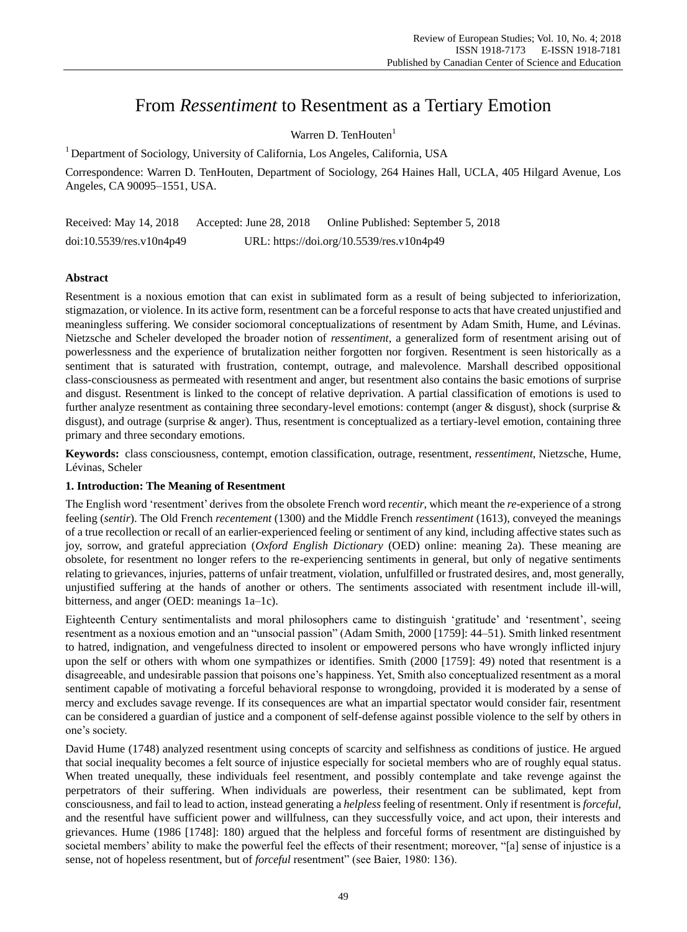# From *Ressentiment* to Resentment as a Tertiary Emotion

Warren D. TenHouten<sup>1</sup>

<sup>1</sup> Department of Sociology, University of California, Los Angeles, California, USA

Correspondence: Warren D. TenHouten, Department of Sociology, 264 Haines Hall, UCLA, 405 Hilgard Avenue, Los Angeles, CA 90095–1551, USA.

| Received: May 14, 2018      | Accepted: June 28, 2018                   | Online Published: September 5, 2018 |
|-----------------------------|-------------------------------------------|-------------------------------------|
| $doi:10.5539$ /res.v10n4p49 | URL: https://doi.org/10.5539/res.v10n4p49 |                                     |

## **Abstract**

Resentment is a noxious emotion that can exist in sublimated form as a result of being subjected to inferiorization, stigmazation, or violence. In its active form, resentment can be a forceful response to acts that have created unjustified and meaningless suffering. We consider sociomoral conceptualizations of resentment by Adam Smith, Hume, and Lévinas. Nietzsche and Scheler developed the broader notion of *ressentiment*, a generalized form of resentment arising out of powerlessness and the experience of brutalization neither forgotten nor forgiven. Resentment is seen historically as a sentiment that is saturated with frustration, contempt, outrage, and malevolence. Marshall described oppositional class-consciousness as permeated with resentment and anger, but resentment also contains the basic emotions of surprise and disgust. Resentment is linked to the concept of relative deprivation. A partial classification of emotions is used to further analyze resentment as containing three secondary-level emotions: contempt (anger & disgust), shock (surprise & disgust), and outrage (surprise & anger). Thus, resentment is conceptualized as a tertiary-level emotion, containing three primary and three secondary emotions.

**Keywords:** class consciousness, contempt, emotion classification, outrage, resentment, *ressentiment*, Nietzsche, Hume, Lévinas, Scheler

## **1. Introduction: The Meaning of Resentment**

The English word "resentment" derives from the obsolete French word r*ecentir*, which meant the *re*-experience of a strong feeling (*sentir*). The Old French *recentement* (1300) and the Middle French *ressentiment* (1613), conveyed the meanings of a true recollection or recall of an earlier-experienced feeling or sentiment of any kind, including affective states such as joy, sorrow, and grateful appreciation (*Oxford English Dictionary* (OED) online: meaning 2a). These meaning are obsolete, for resentment no longer refers to the re-experiencing sentiments in general, but only of negative sentiments relating to grievances, injuries, patterns of unfair treatment, violation, unfulfilled or frustrated desires, and, most generally, unjustified suffering at the hands of another or others. The sentiments associated with resentment include ill-will, bitterness, and anger (OED: meanings 1a–1c).

Eighteenth Century sentimentalists and moral philosophers came to distinguish "gratitude" and "resentment", seeing resentment as a noxious emotion and an "unsocial passion" (Adam Smith, 2000 [1759]: 44–51). Smith linked resentment to hatred, indignation, and vengefulness directed to insolent or empowered persons who have wrongly inflicted injury upon the self or others with whom one sympathizes or identifies. Smith (2000 [1759]: 49) noted that resentment is a disagreeable, and undesirable passion that poisons one"s happiness. Yet, Smith also conceptualized resentment as a moral sentiment capable of motivating a forceful behavioral response to wrongdoing, provided it is moderated by a sense of mercy and excludes savage revenge. If its consequences are what an impartial spectator would consider fair, resentment can be considered a guardian of justice and a component of self-defense against possible violence to the self by others in one"s society.

David Hume (1748) analyzed resentment using concepts of scarcity and selfishness as conditions of justice. He argued that social inequality becomes a felt source of injustice especially for societal members who are of roughly equal status. When treated unequally, these individuals feel resentment, and possibly contemplate and take revenge against the perpetrators of their suffering. When individuals are powerless, their resentment can be sublimated, kept from consciousness, and fail to lead to action, instead generating a *helpless* feeling of resentment. Only if resentment is *forceful*, and the resentful have sufficient power and willfulness, can they successfully voice, and act upon, their interests and grievances. Hume (1986 [1748]: 180) argued that the helpless and forceful forms of resentment are distinguished by societal members' ability to make the powerful feel the effects of their resentment; moreover, "[a] sense of injustice is a sense, not of hopeless resentment, but of *forceful* resentment" (see Baier, 1980: 136).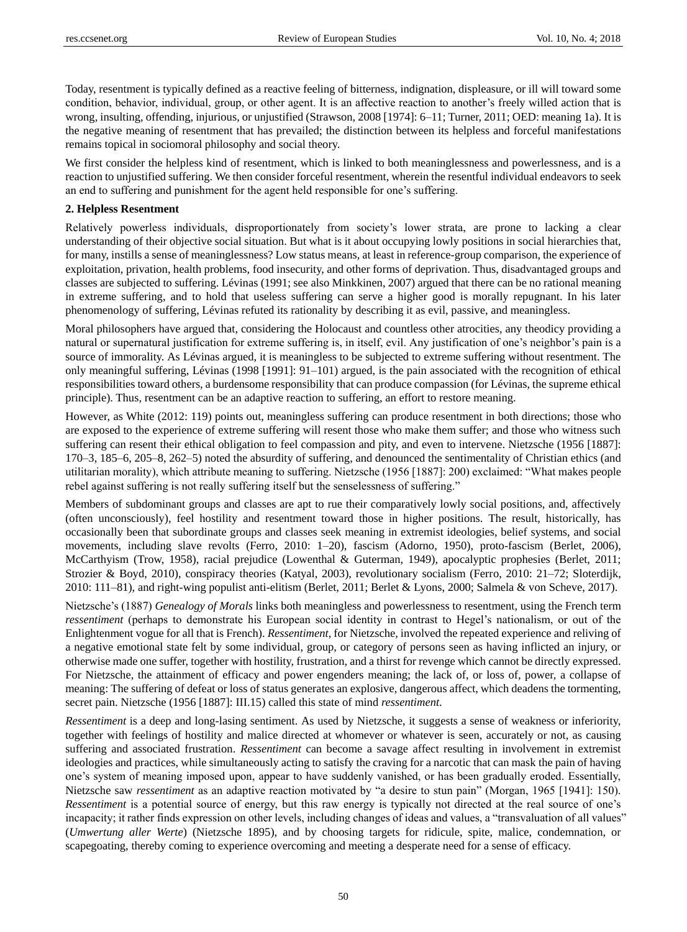Today, resentment is typically defined as a reactive feeling of bitterness, indignation, displeasure, or ill will toward some condition, behavior, individual, group, or other agent. It is an affective reaction to another"s freely willed action that is wrong, insulting, offending, injurious, or unjustified (Strawson, 2008 [1974]: 6–11; Turner, 2011; OED: meaning 1a). It is the negative meaning of resentment that has prevailed; the distinction between its helpless and forceful manifestations remains topical in sociomoral philosophy and social theory.

We first consider the helpless kind of resentment, which is linked to both meaninglessness and powerlessness, and is a reaction to unjustified suffering. We then consider forceful resentment, wherein the resentful individual endeavors to seek an end to suffering and punishment for the agent held responsible for one"s suffering.

## **2. Helpless Resentment**

Relatively powerless individuals, disproportionately from society"s lower strata, are prone to lacking a clear understanding of their objective social situation. But what is it about occupying lowly positions in social hierarchies that, for many, instills a sense of meaninglessness? Low status means, at least in reference-group comparison, the experience of exploitation, privation, health problems, food insecurity, and other forms of deprivation. Thus, disadvantaged groups and classes are subjected to suffering. Lévinas (1991; see also Minkkinen, 2007) argued that there can be no rational meaning in extreme suffering, and to hold that useless suffering can serve a higher good is morally repugnant. In his later phenomenology of suffering, Lévinas refuted its rationality by describing it as evil, passive, and meaningless.

Moral philosophers have argued that, considering the Holocaust and countless other atrocities, any theodicy providing a natural or supernatural justification for extreme suffering is, in itself, evil. Any justification of one's neighbor's pain is a source of immorality. As Lévinas argued, it is meaningless to be subjected to extreme suffering without resentment. The only meaningful suffering, Lévinas (1998 [1991]: 91–101) argued, is the pain associated with the recognition of ethical responsibilities toward others, a burdensome responsibility that can produce compassion (for Lévinas, the supreme ethical principle). Thus, resentment can be an adaptive reaction to suffering, an effort to restore meaning.

However, as White (2012: 119) points out, meaningless suffering can produce resentment in both directions; those who are exposed to the experience of extreme suffering will resent those who make them suffer; and those who witness such suffering can resent their ethical obligation to feel compassion and pity, and even to intervene. Nietzsche (1956 [1887]: 170–3, 185–6, 205–8, 262–5) noted the absurdity of suffering, and denounced the sentimentality of Christian ethics (and utilitarian morality), which attribute meaning to suffering. Nietzsche (1956 [1887]: 200) exclaimed: "What makes people rebel against suffering is not really suffering itself but the senselessness of suffering."

Members of subdominant groups and classes are apt to rue their comparatively lowly social positions, and, affectively (often unconsciously), feel hostility and resentment toward those in higher positions. The result, historically, has occasionally been that subordinate groups and classes seek meaning in extremist ideologies, belief systems, and social movements, including slave revolts (Ferro, 2010: 1–20), fascism (Adorno, 1950), proto-fascism (Berlet, 2006), McCarthyism (Trow, 1958), racial prejudice (Lowenthal & Guterman, 1949), apocalyptic prophesies (Berlet, 2011; Strozier & Boyd, 2010), conspiracy theories (Katyal, 2003), revolutionary socialism (Ferro, 2010: 21–72; Sloterdijk, 2010: 111–81), and right-wing populist anti-elitism (Berlet, 2011; Berlet & Lyons, 2000; Salmela & von Scheve, 2017).

Nietzsche"s (1887) *Genealogy of Morals* links both meaningless and powerlessness to resentment, using the French term *ressentiment* (perhaps to demonstrate his European social identity in contrast to Hegel's nationalism, or out of the Enlightenment vogue for all that is French). *Ressentiment*, for Nietzsche, involved the repeated experience and reliving of a negative emotional state felt by some individual, group, or category of persons seen as having inflicted an injury, or otherwise made one suffer, together with hostility, frustration, and a thirst for revenge which cannot be directly expressed. For Nietzsche, the attainment of efficacy and power engenders meaning; the lack of, or loss of, power, a collapse of meaning: The suffering of defeat or loss of status generates an explosive, dangerous affect, which deadens the tormenting, secret pain. Nietzsche (1956 [1887]: III.15) called this state of mind *ressentiment*.

*Ressentiment* is a deep and long-lasing sentiment. As used by Nietzsche, it suggests a sense of weakness or inferiority, together with feelings of hostility and malice directed at whomever or whatever is seen, accurately or not, as causing suffering and associated frustration. *Ressentiment* can become a savage affect resulting in involvement in extremist ideologies and practices, while simultaneously acting to satisfy the craving for a narcotic that can mask the pain of having one"s system of meaning imposed upon, appear to have suddenly vanished, or has been gradually eroded. Essentially, Nietzsche saw *ressentiment* as an adaptive reaction motivated by "a desire to stun pain" (Morgan, 1965 [1941]: 150). *Ressentiment* is a potential source of energy, but this raw energy is typically not directed at the real source of one"s incapacity; it rather finds expression on other levels, including changes of ideas and values, a "transvaluation of all values" (*Umwertung aller Werte*) (Nietzsche 1895), and by choosing targets for ridicule, spite, malice, condemnation, or scapegoating, thereby coming to experience overcoming and meeting a desperate need for a sense of efficacy.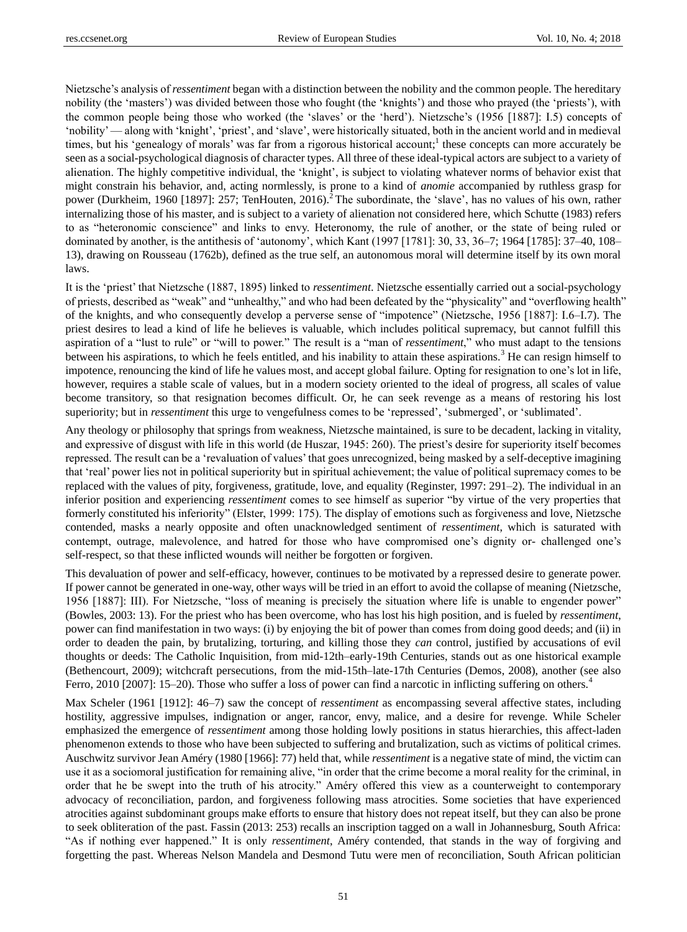Nietzsche"s analysis of *ressentiment* began with a distinction between the nobility and the common people. The hereditary nobility (the "masters") was divided between those who fought (the "knights") and those who prayed (the "priests"), with the common people being those who worked (the 'slaves' or the 'herd'). Nietzsche's (1956 [1887]: I.5) concepts of "nobility" — along with 'knight', 'priest', and 'slave', were historically situated, both in the ancient world and in medieval times, but his 'genealogy of morals' was far from a rigorous historical account;<sup>1</sup> these concepts can more accurately be seen as a social-psychological diagnosis of character types. All three of these ideal-typical actors are subject to a variety of alienation. The highly competitive individual, the "knight", is subject to violating whatever norms of behavior exist that might constrain his behavior, and, acting normlessly, is prone to a kind of *anomie* accompanied by ruthless grasp for power (Durkheim, 1960 [1897]: 257; TenHouten, 2016).<sup>2</sup>The subordinate, the 'slave', has no values of his own, rather internalizing those of his master, and is subject to a variety of alienation not considered here, which Schutte (1983) refers to as "heteronomic conscience" and links to envy. Heteronomy, the rule of another, or the state of being ruled or dominated by another, is the antithesis of "autonomy", which Kant (1997 [1781]: 30, 33, 36–7; 1964 [1785]: 37–40, 108– 13), drawing on Rousseau (1762b), defined as the true self, an autonomous moral will determine itself by its own moral laws.

It is the "priest" that Nietzsche (1887, 1895) linked to *ressentiment*. Nietzsche essentially carried out a social-psychology of priests, described as "weak" and "unhealthy," and who had been defeated by the "physicality" and "overflowing health" of the knights, and who consequently develop a perverse sense of "impotence" (Nietzsche, 1956 [1887]: I.6–I.7). The priest desires to lead a kind of life he believes is valuable, which includes political supremacy, but cannot fulfill this aspiration of a "lust to rule" or "will to power." The result is a "man of *ressentiment*," who must adapt to the tensions between his aspirations, to which he feels entitled, and his inability to attain these aspirations.<sup>3</sup> He can resign himself to impotence, renouncing the kind of life he values most, and accept global failure. Opting for resignation to one's lot in life, however, requires a stable scale of values, but in a modern society oriented to the ideal of progress, all scales of value become transitory, so that resignation becomes difficult. Or, he can seek revenge as a means of restoring his lost superiority; but in *ressentiment* this urge to vengefulness comes to be 'repressed', 'submerged', or 'sublimated'.

Any theology or philosophy that springs from weakness, Nietzsche maintained, is sure to be decadent, lacking in vitality, and expressive of disgust with life in this world (de Huszar, 1945: 260). The priest"s desire for superiority itself becomes repressed. The result can be a "revaluation of values" that goes unrecognized, being masked by a self-deceptive imagining that "real" power lies not in political superiority but in spiritual achievement; the value of political supremacy comes to be replaced with the values of pity, forgiveness, gratitude, love, and equality (Reginster, 1997: 291–2). The individual in an inferior position and experiencing *ressentiment* comes to see himself as superior "by virtue of the very properties that formerly constituted his inferiority" (Elster, 1999: 175). The display of emotions such as forgiveness and love, Nietzsche contended, masks a nearly opposite and often unacknowledged sentiment of *ressentiment*, which is saturated with contempt, outrage, malevolence, and hatred for those who have compromised one's dignity or- challenged one's self-respect, so that these inflicted wounds will neither be forgotten or forgiven.

This devaluation of power and self-efficacy, however, continues to be motivated by a repressed desire to generate power. If power cannot be generated in one-way, other ways will be tried in an effort to avoid the collapse of meaning (Nietzsche, 1956 [1887]: III). For Nietzsche, "loss of meaning is precisely the situation where life is unable to engender power" (Bowles, 2003: 13). For the priest who has been overcome, who has lost his high position, and is fueled by *ressentiment*, power can find manifestation in two ways: (i) by enjoying the bit of power than comes from doing good deeds; and (ii) in order to deaden the pain, by brutalizing, torturing, and killing those they *can* control, justified by accusations of evil thoughts or deeds: The Catholic Inquisition, from mid-12th–early-19th Centuries, stands out as one historical example (Bethencourt, 2009); witchcraft persecutions, from the mid-15th–late-17th Centuries (Demos, 2008), another (see also Ferro, 2010 [2007]: 15–20). Those who suffer a loss of power can find a narcotic in inflicting suffering on others.<sup>4</sup>

Max Scheler (1961 [1912]: 46–7) saw the concept of *ressentiment* as encompassing several affective states, including hostility, aggressive impulses, indignation or anger, rancor, envy, malice, and a desire for revenge. While Scheler emphasized the emergence of *ressentiment* among those holding lowly positions in status hierarchies, this affect-laden phenomenon extends to those who have been subjected to suffering and brutalization, such as victims of political crimes. Auschwitz survivor Jean Améry (1980 [1966]: 77) held that, while *ressentiment* is a negative state of mind, the victim can use it as a sociomoral justification for remaining alive, "in order that the crime become a moral reality for the criminal, in order that he be swept into the truth of his atrocity." Améry offered this view as a counterweight to contemporary advocacy of reconciliation, pardon, and forgiveness following mass atrocities. Some societies that have experienced atrocities against subdominant groups make efforts to ensure that history does not repeat itself, but they can also be prone to seek obliteration of the past. Fassin (2013: 253) recalls an inscription tagged on a wall in Johannesburg, South Africa: "As if nothing ever happened." It is only *ressentiment*, Améry contended, that stands in the way of forgiving and forgetting the past. Whereas Nelson Mandela and Desmond Tutu were men of reconciliation, South African politician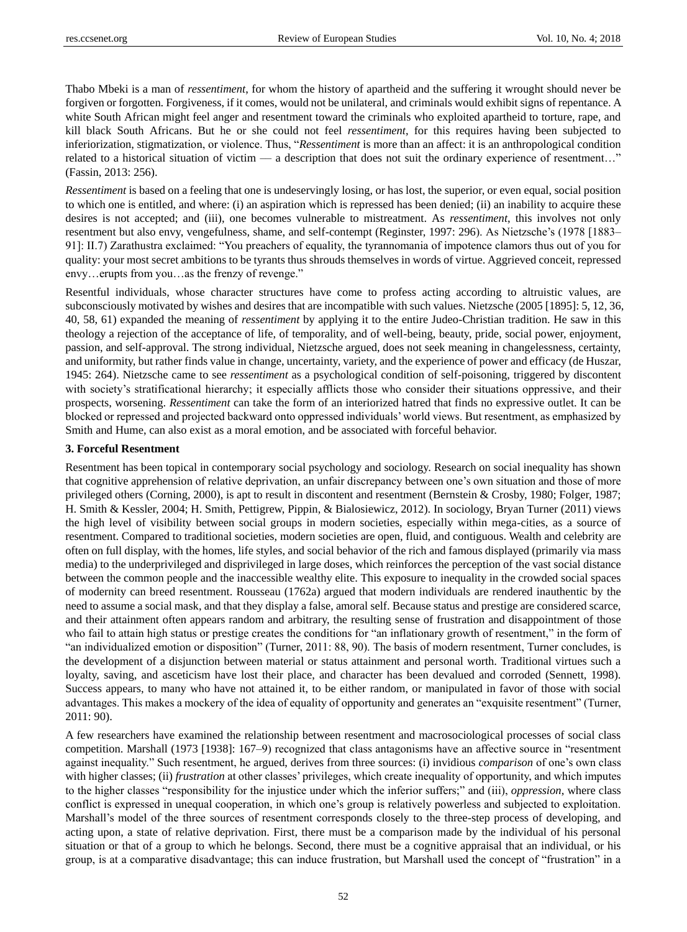Thabo Mbeki is a man of *ressentiment*, for whom the history of apartheid and the suffering it wrought should never be forgiven or forgotten. Forgiveness, if it comes, would not be unilateral, and criminals would exhibit signs of repentance. A white South African might feel anger and resentment toward the criminals who exploited apartheid to torture, rape, and kill black South Africans. But he or she could not feel *ressentiment*, for this requires having been subjected to inferiorization, stigmatization, or violence. Thus, "*Ressentiment* is more than an affect: it is an anthropological condition related to a historical situation of victim — a description that does not suit the ordinary experience of resentment..." (Fassin, 2013: 256).

*Ressentiment* is based on a feeling that one is undeservingly losing, or has lost, the superior, or even equal, social position to which one is entitled, and where: (i) an aspiration which is repressed has been denied; (ii) an inability to acquire these desires is not accepted; and (iii), one becomes vulnerable to mistreatment. As *ressentiment*, this involves not only resentment but also envy, vengefulness, shame, and self-contempt (Reginster, 1997: 296). As Nietzsche's (1978 [1883– 91]: II.7) Zarathustra exclaimed: "You preachers of equality, the tyrannomania of impotence clamors thus out of you for quality: your most secret ambitions to be tyrants thus shrouds themselves in words of virtue. Aggrieved conceit, repressed envy…erupts from you…as the frenzy of revenge."

Resentful individuals, whose character structures have come to profess acting according to altruistic values, are subconsciously motivated by wishes and desires that are incompatible with such values. Nietzsche (2005 [1895]: 5, 12, 36, 40, 58, 61) expanded the meaning of *ressentiment* by applying it to the entire Judeo-Christian tradition. He saw in this theology a rejection of the acceptance of life, of temporality, and of well-being, beauty, pride, social power, enjoyment, passion, and self-approval. The strong individual, Nietzsche argued, does not seek meaning in changelessness, certainty, and uniformity, but rather finds value in change, uncertainty, variety, and the experience of power and efficacy (de Huszar, 1945: 264). Nietzsche came to see *ressentiment* as a psychological condition of self-poisoning, triggered by discontent with society's stratificational hierarchy; it especially afflicts those who consider their situations oppressive, and their prospects, worsening. *Ressentiment* can take the form of an interiorized hatred that finds no expressive outlet. It can be blocked or repressed and projected backward onto oppressed individuals" world views. But resentment, as emphasized by Smith and Hume, can also exist as a moral emotion, and be associated with forceful behavior.

#### **3. Forceful Resentment**

Resentment has been topical in contemporary social psychology and sociology. Research on social inequality has shown that cognitive apprehension of relative deprivation, an unfair discrepancy between one"s own situation and those of more privileged others (Corning, 2000), is apt to result in discontent and resentment (Bernstein & Crosby, 1980; Folger, 1987; H. Smith & Kessler, 2004; H. Smith, Pettigrew, Pippin, & Bialosiewicz, 2012). In sociology, Bryan Turner (2011) views the high level of visibility between social groups in modern societies, especially within mega-cities, as a source of resentment. Compared to traditional societies, modern societies are open, fluid, and contiguous. Wealth and celebrity are often on full display, with the homes, life styles, and social behavior of the rich and famous displayed (primarily via mass media) to the underprivileged and disprivileged in large doses, which reinforces the perception of the vast social distance between the common people and the inaccessible wealthy elite. This exposure to inequality in the crowded social spaces of modernity can breed resentment. Rousseau (1762a) argued that modern individuals are rendered inauthentic by the need to assume a social mask, and that they display a false, amoral self. Because status and prestige are considered scarce, and their attainment often appears random and arbitrary, the resulting sense of frustration and disappointment of those who fail to attain high status or prestige creates the conditions for "an inflationary growth of resentment," in the form of "an individualized emotion or disposition" (Turner, 2011: 88, 90). The basis of modern resentment, Turner concludes, is the development of a disjunction between material or status attainment and personal worth. Traditional virtues such a loyalty, saving, and asceticism have lost their place, and character has been devalued and corroded (Sennett, 1998). Success appears, to many who have not attained it, to be either random, or manipulated in favor of those with social advantages. This makes a mockery of the idea of equality of opportunity and generates an "exquisite resentment" (Turner, 2011: 90).

A few researchers have examined the relationship between resentment and macrosociological processes of social class competition. Marshall (1973 [1938]: 167–9) recognized that class antagonisms have an affective source in "resentment against inequality." Such resentment, he argued, derives from three sources: (i) invidious *comparison* of one"s own class with higher classes; (ii) *frustration* at other classes' privileges, which create inequality of opportunity, and which imputes to the higher classes "responsibility for the injustice under which the inferior suffers;" and (iii), *oppression*, where class conflict is expressed in unequal cooperation, in which one"s group is relatively powerless and subjected to exploitation. Marshall"s model of the three sources of resentment corresponds closely to the three-step process of developing, and acting upon, a state of relative deprivation. First, there must be a comparison made by the individual of his personal situation or that of a group to which he belongs. Second, there must be a cognitive appraisal that an individual, or his group, is at a comparative disadvantage; this can induce frustration, but Marshall used the concept of "frustration" in a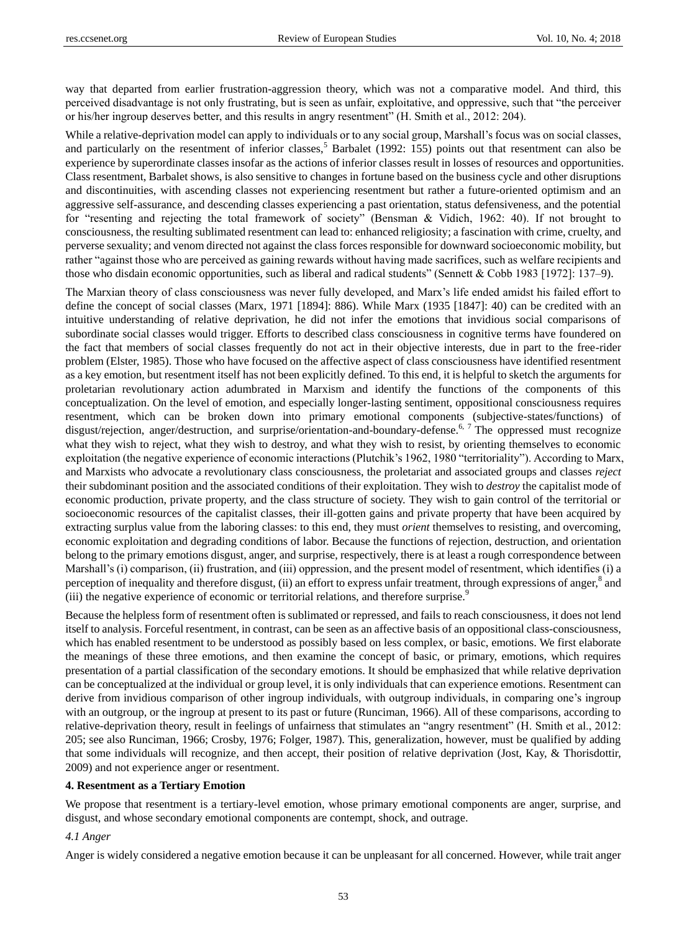way that departed from earlier frustration-aggression theory, which was not a comparative model. And third, this perceived disadvantage is not only frustrating, but is seen as unfair, exploitative, and oppressive, such that "the perceiver or his/her ingroup deserves better, and this results in angry resentment" (H. Smith et al., 2012: 204).

While a relative-deprivation model can apply to individuals or to any social group, Marshall's focus was on social classes, and particularly on the resentment of inferior classes,<sup>5</sup> Barbalet (1992: 155) points out that resentment can also be experience by superordinate classes insofar as the actions of inferior classes result in losses of resources and opportunities. Class resentment, Barbalet shows, is also sensitive to changes in fortune based on the business cycle and other disruptions and discontinuities, with ascending classes not experiencing resentment but rather a future-oriented optimism and an aggressive self-assurance, and descending classes experiencing a past orientation, status defensiveness, and the potential for "resenting and rejecting the total framework of society" (Bensman & Vidich, 1962: 40). If not brought to consciousness, the resulting sublimated resentment can lead to: enhanced religiosity; a fascination with crime, cruelty, and perverse sexuality; and venom directed not against the class forces responsible for downward socioeconomic mobility, but rather "against those who are perceived as gaining rewards without having made sacrifices, such as welfare recipients and those who disdain economic opportunities, such as liberal and radical students" (Sennett & Cobb 1983 [1972]: 137–9).

The Marxian theory of class consciousness was never fully developed, and Marx"s life ended amidst his failed effort to define the concept of social classes (Marx, 1971 [1894]: 886). While Marx (1935 [1847]: 40) can be credited with an intuitive understanding of relative deprivation, he did not infer the emotions that invidious social comparisons of subordinate social classes would trigger. Efforts to described class consciousness in cognitive terms have foundered on the fact that members of social classes frequently do not act in their objective interests, due in part to the free-rider problem (Elster, 1985). Those who have focused on the affective aspect of class consciousness have identified resentment as a key emotion, but resentment itself has not been explicitly defined. To this end, it is helpful to sketch the arguments for proletarian revolutionary action adumbrated in Marxism and identify the functions of the components of this conceptualization. On the level of emotion, and especially longer-lasting sentiment, oppositional consciousness requires resentment, which can be broken down into primary emotional components (subjective-states/functions) of disgust/rejection, anger/destruction, and surprise/orientation-and-boundary-defense.<sup>6, 7</sup> The oppressed must recognize what they wish to reject, what they wish to destroy, and what they wish to resist, by orienting themselves to economic exploitation (the negative experience of economic interactions (Plutchik"s 1962, 1980 "territoriality"). According to Marx, and Marxists who advocate a revolutionary class consciousness, the proletariat and associated groups and classes *reject* their subdominant position and the associated conditions of their exploitation. They wish to *destroy* the capitalist mode of economic production, private property, and the class structure of society. They wish to gain control of the territorial or socioeconomic resources of the capitalist classes, their ill-gotten gains and private property that have been acquired by extracting surplus value from the laboring classes: to this end, they must *orient* themselves to resisting, and overcoming, economic exploitation and degrading conditions of labor. Because the functions of rejection, destruction, and orientation belong to the primary emotions disgust, anger, and surprise, respectively, there is at least a rough correspondence between Marshall"s (i) comparison, (ii) frustration, and (iii) oppression, and the present model of resentment, which identifies (i) a perception of inequality and therefore disgust, (ii) an effort to express unfair treatment, through expressions of anger,<sup>8</sup> and (iii) the negative experience of economic or territorial relations, and therefore surprise.<sup>9</sup>

Because the helpless form of resentment often is sublimated or repressed, and fails to reach consciousness, it does not lend itself to analysis. Forceful resentment, in contrast, can be seen as an affective basis of an oppositional class-consciousness, which has enabled resentment to be understood as possibly based on less complex, or basic, emotions. We first elaborate the meanings of these three emotions, and then examine the concept of basic, or primary, emotions, which requires presentation of a partial classification of the secondary emotions. It should be emphasized that while relative deprivation can be conceptualized at the individual or group level, it is only individuals that can experience emotions. Resentment can derive from invidious comparison of other ingroup individuals, with outgroup individuals, in comparing one"s ingroup with an outgroup, or the ingroup at present to its past or future (Runciman, 1966). All of these comparisons, according to relative-deprivation theory, result in feelings of unfairness that stimulates an "angry resentment" (H. Smith et al., 2012: 205; see also Runciman, 1966; Crosby, 1976; Folger, 1987). This, generalization, however, must be qualified by adding that some individuals will recognize, and then accept, their position of relative deprivation (Jost, Kay, & Thorisdottir, 2009) and not experience anger or resentment.

## **4. Resentment as a Tertiary Emotion**

We propose that resentment is a tertiary-level emotion, whose primary emotional components are anger, surprise, and disgust, and whose secondary emotional components are contempt, shock, and outrage.

#### *4.1 Anger*

Anger is widely considered a negative emotion because it can be unpleasant for all concerned. However, while trait anger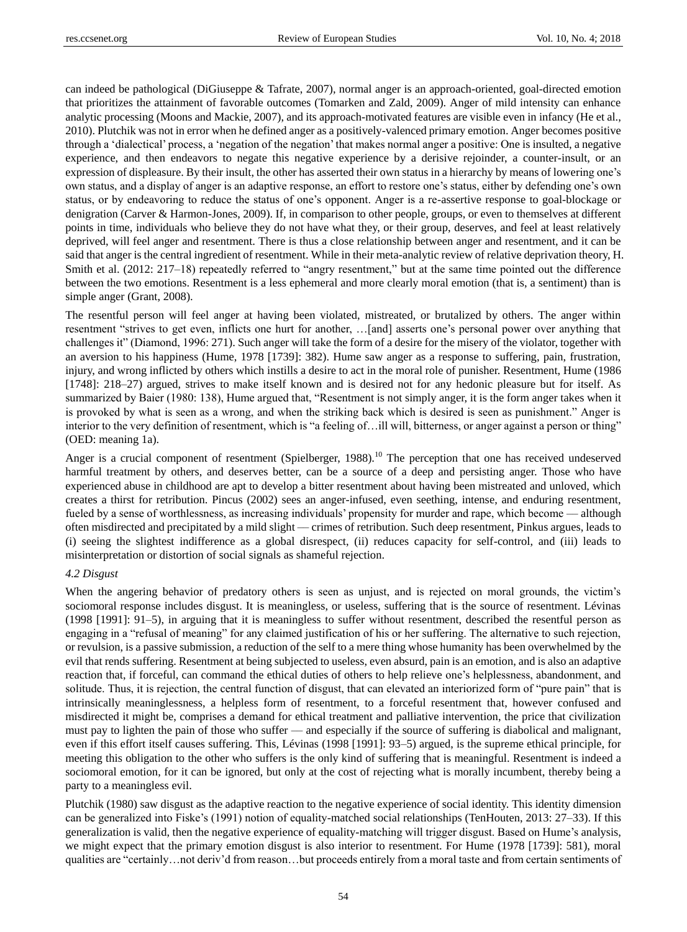can indeed be pathological (DiGiuseppe & Tafrate, 2007), normal anger is an approach-oriented, goal-directed emotion that prioritizes the attainment of favorable outcomes (Tomarken and Zald, 2009). Anger of mild intensity can enhance analytic processing (Moons and Mackie, 2007), and its approach-motivated features are visible even in infancy (He et al., 2010). Plutchik was not in error when he defined anger as a positively-valenced primary emotion. Anger becomes positive through a "dialectical" process, a "negation of the negation" that makes normal anger a positive: One is insulted, a negative experience, and then endeavors to negate this negative experience by a derisive rejoinder, a counter-insult, or an expression of displeasure. By their insult, the other has asserted their own status in a hierarchy by means of lowering one"s own status, and a display of anger is an adaptive response, an effort to restore one"s status, either by defending one"s own status, or by endeavoring to reduce the status of one"s opponent. Anger is a re-assertive response to goal-blockage or denigration (Carver & Harmon-Jones, 2009). If, in comparison to other people, groups, or even to themselves at different points in time, individuals who believe they do not have what they, or their group, deserves, and feel at least relatively deprived, will feel anger and resentment. There is thus a close relationship between anger and resentment, and it can be said that anger is the central ingredient of resentment. While in their meta-analytic review of relative deprivation theory, H. Smith et al. (2012: 217–18) repeatedly referred to "angry resentment," but at the same time pointed out the difference between the two emotions. Resentment is a less ephemeral and more clearly moral emotion (that is, a sentiment) than is simple anger (Grant, 2008).

The resentful person will feel anger at having been violated, mistreated, or brutalized by others. The anger within resentment "strives to get even, inflicts one hurt for another, …[and] asserts one"s personal power over anything that challenges it" (Diamond, 1996: 271). Such anger will take the form of a desire for the misery of the violator, together with an aversion to his happiness (Hume, 1978 [1739]: 382). Hume saw anger as a response to suffering, pain, frustration, injury, and wrong inflicted by others which instills a desire to act in the moral role of punisher. Resentment, Hume (1986 [1748]: 218–27) argued, strives to make itself known and is desired not for any hedonic pleasure but for itself. As summarized by Baier (1980: 138), Hume argued that, "Resentment is not simply anger, it is the form anger takes when it is provoked by what is seen as a wrong, and when the striking back which is desired is seen as punishment." Anger is interior to the very definition of resentment, which is "a feeling of…ill will, bitterness, or anger against a person or thing" (OED: meaning 1a).

Anger is a crucial component of resentment (Spielberger, 1988).<sup>10</sup> The perception that one has received undeserved harmful treatment by others, and deserves better, can be a source of a deep and persisting anger. Those who have experienced abuse in childhood are apt to develop a bitter resentment about having been mistreated and unloved, which creates a thirst for retribution. Pincus (2002) sees an anger-infused, even seething, intense, and enduring resentment, fueled by a sense of worthlessness, as increasing individuals' propensity for murder and rape, which become — although often misdirected and precipitated by a mild slight –– crimes of retribution. Such deep resentment, Pinkus argues, leads to (i) seeing the slightest indifference as a global disrespect, (ii) reduces capacity for self-control, and (iii) leads to misinterpretation or distortion of social signals as shameful rejection.

#### *4.2 Disgust*

When the angering behavior of predatory others is seen as unjust, and is rejected on moral grounds, the victim's sociomoral response includes disgust. It is meaningless, or useless, suffering that is the source of resentment. Lévinas (1998 [1991]: 91–5), in arguing that it is meaningless to suffer without resentment, described the resentful person as engaging in a "refusal of meaning" for any claimed justification of his or her suffering. The alternative to such rejection, or revulsion, is a passive submission, a reduction of the self to a mere thing whose humanity has been overwhelmed by the evil that rends suffering. Resentment at being subjected to useless, even absurd, pain is an emotion, and is also an adaptive reaction that, if forceful, can command the ethical duties of others to help relieve one"s helplessness, abandonment, and solitude. Thus, it is rejection, the central function of disgust, that can elevated an interiorized form of "pure pain" that is intrinsically meaninglessness, a helpless form of resentment, to a forceful resentment that, however confused and misdirected it might be, comprises a demand for ethical treatment and palliative intervention, the price that civilization must pay to lighten the pain of those who suffer –– and especially if the source of suffering is diabolical and malignant, even if this effort itself causes suffering. This, Lévinas (1998 [1991]: 93–5) argued, is the supreme ethical principle, for meeting this obligation to the other who suffers is the only kind of suffering that is meaningful. Resentment is indeed a sociomoral emotion, for it can be ignored, but only at the cost of rejecting what is morally incumbent, thereby being a party to a meaningless evil.

Plutchik (1980) saw disgust as the adaptive reaction to the negative experience of social identity. This identity dimension can be generalized into Fiske"s (1991) notion of equality-matched social relationships (TenHouten, 2013: 27–33). If this generalization is valid, then the negative experience of equality-matching will trigger disgust. Based on Hume"s analysis, we might expect that the primary emotion disgust is also interior to resentment. For Hume (1978 [1739]: 581), moral qualities are "certainly…not deriv"d from reason…but proceeds entirely from a moral taste and from certain sentiments of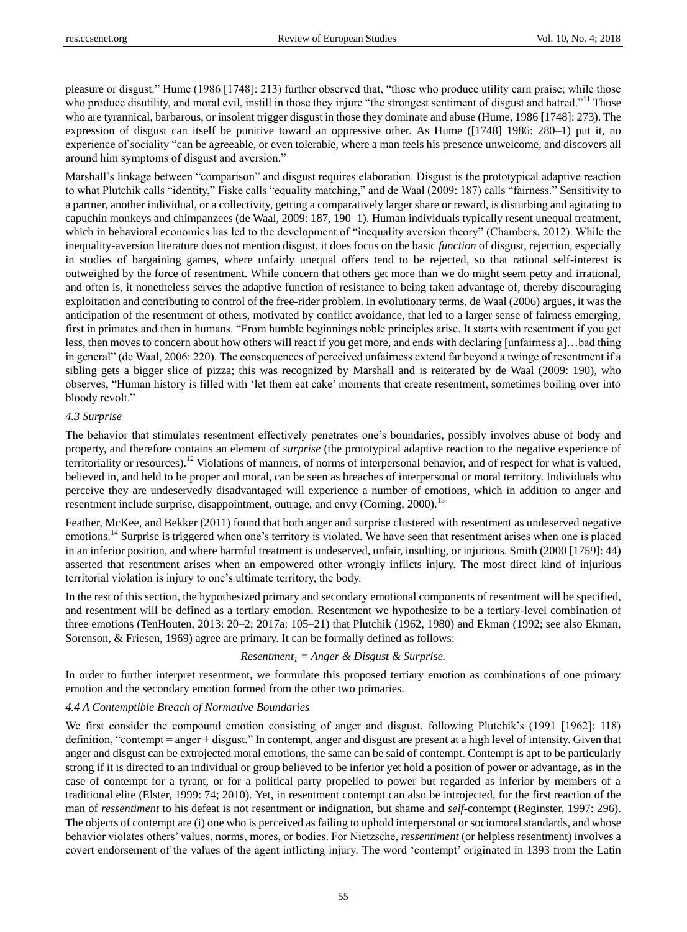pleasure or disgust." Hume (1986 [1748]: 213) further observed that, "those who produce utility earn praise; while those who produce disutility, and moral evil, instill in those they injure "the strongest sentiment of disgust and hatred."<sup>11</sup> Those who are tyrannical, barbarous, or insolent trigger disgust in those they dominate and abuse (Hume, 1986 **[**1748]: 273). The expression of disgust can itself be punitive toward an oppressive other. As Hume ([1748] 1986: 280–1) put it, no experience of sociality "can be agreeable, or even tolerable, where a man feels his presence unwelcome, and discovers all around him symptoms of disgust and aversion."

Marshall"s linkage between "comparison" and disgust requires elaboration. Disgust is the prototypical adaptive reaction to what Plutchik calls "identity," Fiske calls "equality matching," and de Waal (2009: 187) calls "fairness." Sensitivity to a partner, another individual, or a collectivity, getting a comparatively larger share or reward, is disturbing and agitating to capuchin monkeys and chimpanzees (de Waal, 2009: 187, 190–1). Human individuals typically resent unequal treatment, which in behavioral economics has led to the development of "inequality aversion theory" (Chambers, 2012). While the inequality-aversion literature does not mention disgust, it does focus on the basic *function* of disgust, rejection, especially in studies of bargaining games, where unfairly unequal offers tend to be rejected, so that rational self-interest is outweighed by the force of resentment. While concern that others get more than we do might seem petty and irrational, and often is, it nonetheless serves the adaptive function of resistance to being taken advantage of, thereby discouraging exploitation and contributing to control of the free-rider problem. In evolutionary terms, de Waal (2006) argues, it was the anticipation of the resentment of others, motivated by conflict avoidance, that led to a larger sense of fairness emerging, first in primates and then in humans. "From humble beginnings noble principles arise. It starts with resentment if you get less, then moves to concern about how others will react if you get more, and ends with declaring [unfairness a]…bad thing in general" (de Waal, 2006: 220). The consequences of perceived unfairness extend far beyond a twinge of resentment if a sibling gets a bigger slice of pizza; this was recognized by Marshall and is reiterated by de Waal (2009: 190), who observes, "Human history is filled with "let them eat cake" moments that create resentment, sometimes boiling over into bloody revolt."

## *4.3 Surprise*

The behavior that stimulates resentment effectively penetrates one"s boundaries, possibly involves abuse of body and property, and therefore contains an element of *surprise* (the prototypical adaptive reaction to the negative experience of territoriality or resources).<sup>12</sup> Violations of manners, of norms of interpersonal behavior, and of respect for what is valued, believed in, and held to be proper and moral, can be seen as breaches of interpersonal or moral territory. Individuals who perceive they are undeservedly disadvantaged will experience a number of emotions, which in addition to anger and resentment include surprise, disappointment, outrage, and envy (Corning, 2000).<sup>13</sup>

Feather, McKee, and Bekker (2011) found that both anger and surprise clustered with resentment as undeserved negative emotions.<sup>14</sup> Surprise is triggered when one's territory is violated. We have seen that resentment arises when one is placed in an inferior position, and where harmful treatment is undeserved, unfair, insulting, or injurious. Smith (2000 [1759]: 44) asserted that resentment arises when an empowered other wrongly inflicts injury. The most direct kind of injurious territorial violation is injury to one"s ultimate territory, the body.

In the rest of this section, the hypothesized primary and secondary emotional components of resentment will be specified, and resentment will be defined as a tertiary emotion. Resentment we hypothesize to be a tertiary-level combination of three emotions (TenHouten, 2013: 20–2; 2017a: 105–21) that Plutchik (1962, 1980) and Ekman (1992; see also Ekman, Sorenson, & Friesen, 1969) agree are primary. It can be formally defined as follows:

#### *Resentment<sup>1</sup> = Anger & Disgust & Surprise.*

In order to further interpret resentment, we formulate this proposed tertiary emotion as combinations of one primary emotion and the secondary emotion formed from the other two primaries.

## *4.4 A Contemptible Breach of Normative Boundaries*

We first consider the compound emotion consisting of anger and disgust, following Plutchik's (1991 [1962]: 118) definition, "contempt = anger + disgust." In contempt, anger and disgust are present at a high level of intensity. Given that anger and disgust can be extrojected moral emotions, the same can be said of contempt. Contempt is apt to be particularly strong if it is directed to an individual or group believed to be inferior yet hold a position of power or advantage, as in the case of contempt for a tyrant, or for a political party propelled to power but regarded as inferior by members of a traditional elite (Elster, 1999: 74; 2010). Yet, in resentment contempt can also be introjected, for the first reaction of the man of *ressentiment* to his defeat is not resentment or indignation, but shame and *self*-contempt (Reginster, 1997: 296). The objects of contempt are (i) one who is perceived as failing to uphold interpersonal or sociomoral standards, and whose behavior violates others" values, norms, mores, or bodies. For Nietzsche, *ressentiment* (or helpless resentment) involves a covert endorsement of the values of the agent inflicting injury. The word "contempt" originated in 1393 from the Latin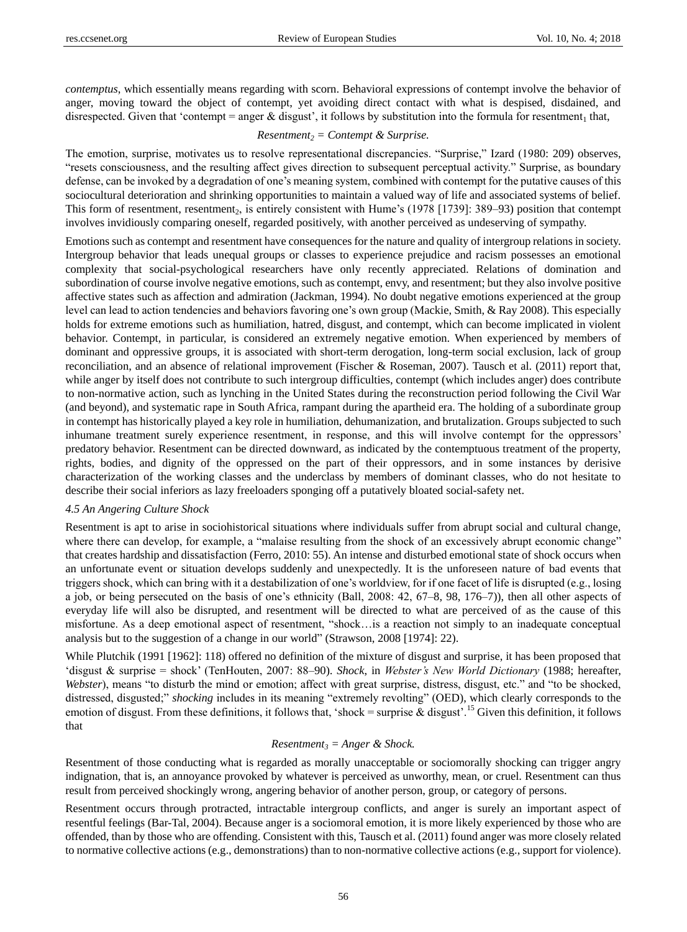*contemptus*, which essentially means regarding with scorn. Behavioral expressions of contempt involve the behavior of anger, moving toward the object of contempt, yet avoiding direct contact with what is despised, disdained, and disrespected. Given that 'contempt = anger & disgust', it follows by substitution into the formula for resentment<sub>1</sub> that,

#### *Resentment<sup>2</sup> = Contempt & Surprise.*

The emotion, surprise, motivates us to resolve representational discrepancies. "Surprise," Izard (1980: 209) observes, "resets consciousness, and the resulting affect gives direction to subsequent perceptual activity." Surprise, as boundary defense, can be invoked by a degradation of one's meaning system, combined with contempt for the putative causes of this sociocultural deterioration and shrinking opportunities to maintain a valued way of life and associated systems of belief. This form of resentment, resentment<sub>2</sub>, is entirely consistent with Hume's (1978 [1739]: 389–93) position that contempt involves invidiously comparing oneself, regarded positively, with another perceived as undeserving of sympathy.

Emotions such as contempt and resentment have consequences for the nature and quality of intergroup relations in society. Intergroup behavior that leads unequal groups or classes to experience prejudice and racism possesses an emotional complexity that social-psychological researchers have only recently appreciated. Relations of domination and subordination of course involve negative emotions, such as contempt, envy, and resentment; but they also involve positive affective states such as affection and admiration (Jackman, 1994). No doubt negative emotions experienced at the group level can lead to action tendencies and behaviors favoring one"s own group (Mackie, Smith, & Ray 2008). This especially holds for extreme emotions such as humiliation, hatred, disgust, and contempt, which can become implicated in violent behavior. Contempt, in particular, is considered an extremely negative emotion. When experienced by members of dominant and oppressive groups, it is associated with short-term derogation, long-term social exclusion, lack of group reconciliation, and an absence of relational improvement (Fischer & Roseman, 2007). Tausch et al. (2011) report that, while anger by itself does not contribute to such intergroup difficulties, contempt (which includes anger) does contribute to non-normative action, such as lynching in the United States during the reconstruction period following the Civil War (and beyond), and systematic rape in South Africa, rampant during the apartheid era. The holding of a subordinate group in contempt has historically played a key role in humiliation, dehumanization, and brutalization. Groups subjected to such inhumane treatment surely experience resentment, in response, and this will involve contempt for the oppressors' predatory behavior. Resentment can be directed downward, as indicated by the contemptuous treatment of the property, rights, bodies, and dignity of the oppressed on the part of their oppressors, and in some instances by derisive characterization of the working classes and the underclass by members of dominant classes, who do not hesitate to describe their social inferiors as lazy freeloaders sponging off a putatively bloated social-safety net.

#### *4.5 An Angering Culture Shock*

Resentment is apt to arise in sociohistorical situations where individuals suffer from abrupt social and cultural change, where there can develop, for example, a "malaise resulting from the shock of an excessively abrupt economic change" that creates hardship and dissatisfaction (Ferro, 2010: 55). An intense and disturbed emotional state of shock occurs when an unfortunate event or situation develops suddenly and unexpectedly. It is the unforeseen nature of bad events that triggers shock, which can bring with it a destabilization of one"s worldview, for if one facet of life is disrupted (e.g., losing a job, or being persecuted on the basis of one"s ethnicity (Ball, 2008: 42, 67–8, 98, 176–7)), then all other aspects of everyday life will also be disrupted, and resentment will be directed to what are perceived of as the cause of this misfortune. As a deep emotional aspect of resentment, "shock…is a reaction not simply to an inadequate conceptual analysis but to the suggestion of a change in our world" (Strawson, 2008 [1974]: 22).

While Plutchik (1991 [1962]: 118) offered no definition of the mixture of disgust and surprise, it has been proposed that "disgust & surprise = shock" (TenHouten, 2007: 88–90). *Shock*, in *Webster's New World Dictionary* (1988; hereafter, *Webster*), means "to disturb the mind or emotion; affect with great surprise, distress, disgust, etc." and "to be shocked, distressed, disgusted;" *shocking* includes in its meaning "extremely revolting" (OED), which clearly corresponds to the emotion of disgust. From these definitions, it follows that, 'shock = surprise & disgust'.<sup>15</sup> Given this definition, it follows that

#### *Resentment<sup>3</sup> = Anger & Shock.*

Resentment of those conducting what is regarded as morally unacceptable or sociomorally shocking can trigger angry indignation, that is, an annoyance provoked by whatever is perceived as unworthy, mean, or cruel. Resentment can thus result from perceived shockingly wrong, angering behavior of another person, group, or category of persons.

Resentment occurs through protracted, intractable intergroup conflicts, and anger is surely an important aspect of resentful feelings (Bar-Tal, 2004). Because anger is a sociomoral emotion, it is more likely experienced by those who are offended, than by those who are offending. Consistent with this, Tausch et al. (2011) found anger was more closely related to normative collective actions (e.g., demonstrations) than to non-normative collective actions (e.g., support for violence).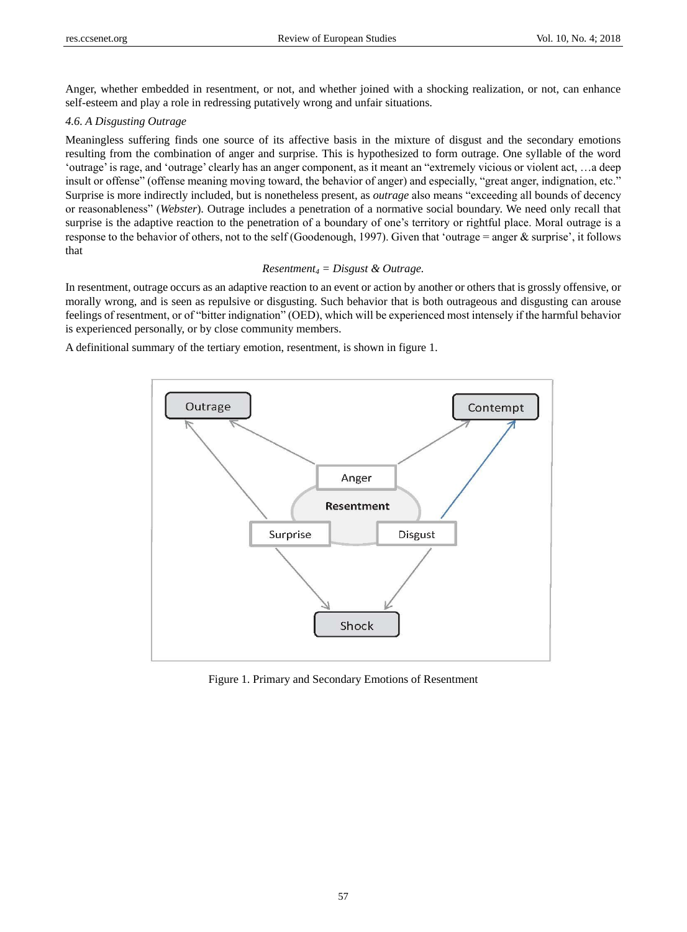Anger, whether embedded in resentment, or not, and whether joined with a shocking realization, or not, can enhance self-esteem and play a role in redressing putatively wrong and unfair situations.

## *4.6. A Disgusting Outrage*

Meaningless suffering finds one source of its affective basis in the mixture of disgust and the secondary emotions resulting from the combination of anger and surprise. This is hypothesized to form outrage. One syllable of the word "outrage" is rage, and "outrage" clearly has an anger component, as it meant an "extremely vicious or violent act, …a deep insult or offense" (offense meaning moving toward, the behavior of anger) and especially, "great anger, indignation, etc." Surprise is more indirectly included, but is nonetheless present, as *outrage* also means "exceeding all bounds of decency or reasonableness" (*Webster*). Outrage includes a penetration of a normative social boundary. We need only recall that surprise is the adaptive reaction to the penetration of a boundary of one's territory or rightful place. Moral outrage is a response to the behavior of others, not to the self (Goodenough, 1997). Given that "outrage = anger & surprise", it follows that

#### *Resentment<sup>4</sup> = Disgust & Outrage.*

In resentment, outrage occurs as an adaptive reaction to an event or action by another or others that is grossly offensive, or morally wrong, and is seen as repulsive or disgusting. Such behavior that is both outrageous and disgusting can arouse feelings of resentment, or of "bitter indignation" (OED), which will be experienced most intensely if the harmful behavior is experienced personally, or by close community members.

A definitional summary of the tertiary emotion, resentment, is shown in figure 1.



Figure 1. Primary and Secondary Emotions of Resentment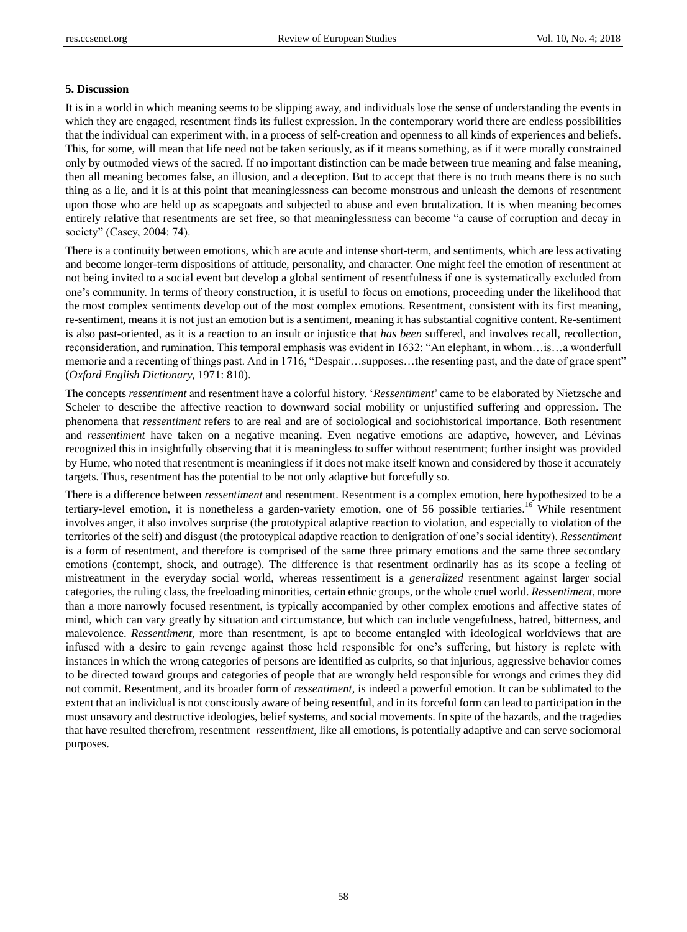#### **5. Discussion**

It is in a world in which meaning seems to be slipping away, and individuals lose the sense of understanding the events in which they are engaged, resentment finds its fullest expression. In the contemporary world there are endless possibilities that the individual can experiment with, in a process of self-creation and openness to all kinds of experiences and beliefs. This, for some, will mean that life need not be taken seriously, as if it means something, as if it were morally constrained only by outmoded views of the sacred. If no important distinction can be made between true meaning and false meaning, then all meaning becomes false, an illusion, and a deception. But to accept that there is no truth means there is no such thing as a lie, and it is at this point that meaninglessness can become monstrous and unleash the demons of resentment upon those who are held up as scapegoats and subjected to abuse and even brutalization. It is when meaning becomes entirely relative that resentments are set free, so that meaninglessness can become "a cause of corruption and decay in society" (Casey, 2004: 74).

There is a continuity between emotions, which are acute and intense short-term, and sentiments, which are less activating and become longer-term dispositions of attitude, personality, and character. One might feel the emotion of resentment at not being invited to a social event but develop a global sentiment of resentfulness if one is systematically excluded from one"s community. In terms of theory construction, it is useful to focus on emotions, proceeding under the likelihood that the most complex sentiments develop out of the most complex emotions. Resentment, consistent with its first meaning, re-sentiment, means it is not just an emotion but is a sentiment, meaning it has substantial cognitive content. Re-sentiment is also past-oriented, as it is a reaction to an insult or injustice that *has been* suffered, and involves recall, recollection, reconsideration, and rumination. This temporal emphasis was evident in 1632: "An elephant, in whom…is…a wonderfull memorie and a recenting of things past. And in 1716, "Despair...supposes...the resenting past, and the date of grace spent" (*Oxford English Dictionary,* 1971: 810).

The concepts *ressentiment* and resentment have a colorful history. "*Ressentiment*" came to be elaborated by Nietzsche and Scheler to describe the affective reaction to downward social mobility or unjustified suffering and oppression. The phenomena that *ressentiment* refers to are real and are of sociological and sociohistorical importance. Both resentment and *ressentiment* have taken on a negative meaning. Even negative emotions are adaptive, however, and Lévinas recognized this in insightfully observing that it is meaningless to suffer without resentment; further insight was provided by Hume, who noted that resentment is meaningless if it does not make itself known and considered by those it accurately targets. Thus, resentment has the potential to be not only adaptive but forcefully so.

There is a difference between *ressentiment* and resentment. Resentment is a complex emotion, here hypothesized to be a tertiary-level emotion, it is nonetheless a garden-variety emotion, one of 56 possible tertiaries.<sup>16</sup> While resentment involves anger, it also involves surprise (the prototypical adaptive reaction to violation, and especially to violation of the territories of the self) and disgust (the prototypical adaptive reaction to denigration of one"s social identity). *Ressentiment* is a form of resentment, and therefore is comprised of the same three primary emotions and the same three secondary emotions (contempt, shock, and outrage). The difference is that resentment ordinarily has as its scope a feeling of mistreatment in the everyday social world, whereas ressentiment is a *generalized* resentment against larger social categories, the ruling class, the freeloading minorities, certain ethnic groups, or the whole cruel world. *Ressentiment*, more than a more narrowly focused resentment, is typically accompanied by other complex emotions and affective states of mind, which can vary greatly by situation and circumstance, but which can include vengefulness, hatred, bitterness, and malevolence. *Ressentiment*, more than resentment, is apt to become entangled with ideological worldviews that are infused with a desire to gain revenge against those held responsible for one"s suffering, but history is replete with instances in which the wrong categories of persons are identified as culprits, so that injurious, aggressive behavior comes to be directed toward groups and categories of people that are wrongly held responsible for wrongs and crimes they did not commit. Resentment, and its broader form of *ressentiment*, is indeed a powerful emotion. It can be sublimated to the extent that an individual is not consciously aware of being resentful, and in its forceful form can lead to participation in the most unsavory and destructive ideologies, belief systems, and social movements. In spite of the hazards, and the tragedies that have resulted therefrom, resentment–*ressentiment*, like all emotions, is potentially adaptive and can serve sociomoral purposes.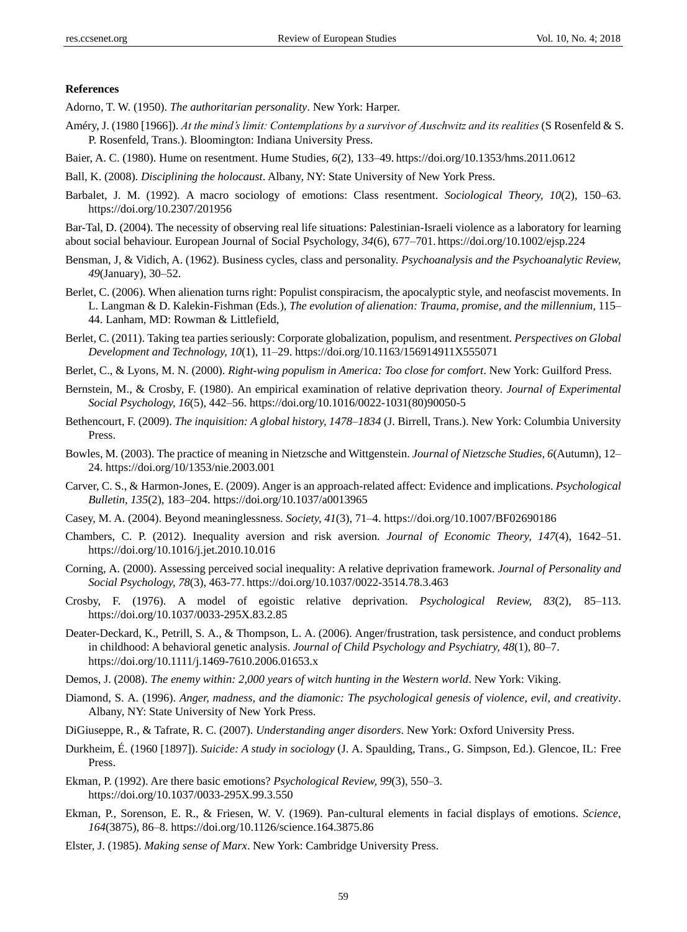#### **References**

Adorno, T. W. (1950). *The authoritarian personality*. New York: Harper.

- Améry, J. (1980 [1966]). *At the mind's limit: Contemplations by a survivor of Auschwitz and its realities* (S Rosenfeld & S. P. Rosenfeld, Trans.). Bloomington: Indiana University Press.
- Baier, A. C. (1980). Hume on resentment. Hume Studies, *6*(2), 133–49. https://doi.org/10.1353/hms.2011.0612
- Ball, K. (2008). *Disciplining the holocaust*. Albany, NY: State University of New York Press.
- Barbalet, J. M. (1992). A macro sociology of emotions: Class resentment. *Sociological Theory, 10*(2), 150–63. https://doi.org/10.2307/201956
- Bar-Tal, D. (2004). The necessity of observing real life situations: Palestinian-Israeli violence as a laboratory for learning about social behaviour. European Journal of Social Psychology, *34*(6), 677–701. https://doi.org/10.1002/ejsp.224
- Bensman, J, & Vidich, A. (1962). Business cycles, class and personality. *Psychoanalysis and the Psychoanalytic Review, 49*(January), 30–52.
- Berlet, C. (2006). When alienation turns right: Populist conspiracism, the apocalyptic style, and neofascist movements. In L. Langman & D. Kalekin-Fishman (Eds.), *The evolution of alienation: Trauma, promise, and the millennium,* 115– 44. Lanham, MD: Rowman & Littlefield,
- Berlet, C. (2011). Taking tea parties seriously: Corporate globalization, populism, and resentment. *Perspectives on Global Development and Technology, 10*(1), 11–29. https://doi.org/10.1163/156914911X555071
- Berlet, C., & Lyons, M. N. (2000). *Right-wing populism in America: Too close for comfort*. New York: Guilford Press.
- Bernstein, M., & Crosby, F. (1980). An empirical examination of relative deprivation theory. *Journal of Experimental Social Psychology, 16*(5), 442–56. https://doi.org/10.1016/0022-1031(80)90050-5
- Bethencourt, F. (2009). *The inquisition: A global history, 1478–1834* (J. Birrell, Trans.). New York: Columbia University Press.
- Bowles, M. (2003). The practice of meaning in Nietzsche and Wittgenstein. *Journal of Nietzsche Studies, 6*(Autumn), 12– 24. https://doi.org/10/1353/nie.2003.001
- Carver, C. S., & Harmon-Jones, E. (2009). Anger is an approach-related affect: Evidence and implications. *Psychological Bulletin, 135*(2), 183–204. https://doi.org/10.1037/a0013965
- Casey, M. A. (2004). Beyond meaninglessness. *Society, 41*(3), 71–4. https://doi.org/10.1007/BF02690186
- Chambers, C. P. (2012). Inequality aversion and risk aversion. *Journal of Economic Theory, 147*(4), 1642–51. https://doi.org/10.1016/j.jet.2010.10.016
- Corning, A. (2000). Assessing perceived social inequality: A relative deprivation framework. *Journal of Personality and Social Psychology, 78*(3), 463-77. https://doi.org/10.1037/0022-3514.78.3.463
- Crosby, F. (1976). A model of egoistic relative deprivation. *Psychological Review, 83*(2), 85–113. https://doi.org/10.1037/0033-295X.83.2.85
- Deater-Deckard, K., Petrill, S. A., & Thompson, L. A. (2006). Anger/frustration, task persistence, and conduct problems in childhood: A behavioral genetic analysis. *Journal of Child Psychology and Psychiatry, 48*(1), 80–7. https://doi.org/10.1111/j.1469-7610.2006.01653.x
- Demos, J. (2008). *The enemy within: 2,000 years of witch hunting in the Western world*. New York: Viking.
- Diamond, S. A. (1996). *Anger, madness, and the diamonic: The psychological genesis of violence, evil, and creativity*. Albany, NY: State University of New York Press.
- DiGiuseppe, R., & Tafrate, R. C. (2007). *Understanding anger disorders*. New York: Oxford University Press.
- Durkheim, É. (1960 [1897]). *Suicide: A study in sociology* (J. A. Spaulding, Trans., G. Simpson, Ed.). Glencoe, IL: Free Press.
- Ekman, P. (1992). Are there basic emotions? *Psychological Review, 99*(3), 550–3. https://doi.org/10.1037/0033-295X.99.3.550
- Ekman, P., Sorenson, E. R., & Friesen, W. V. (1969). Pan-cultural elements in facial displays of emotions. *Science, 164*(3875), 86–8. https://doi.org/10.1126/science.164.3875.86
- Elster, J. (1985). *Making sense of Marx*. New York: Cambridge University Press.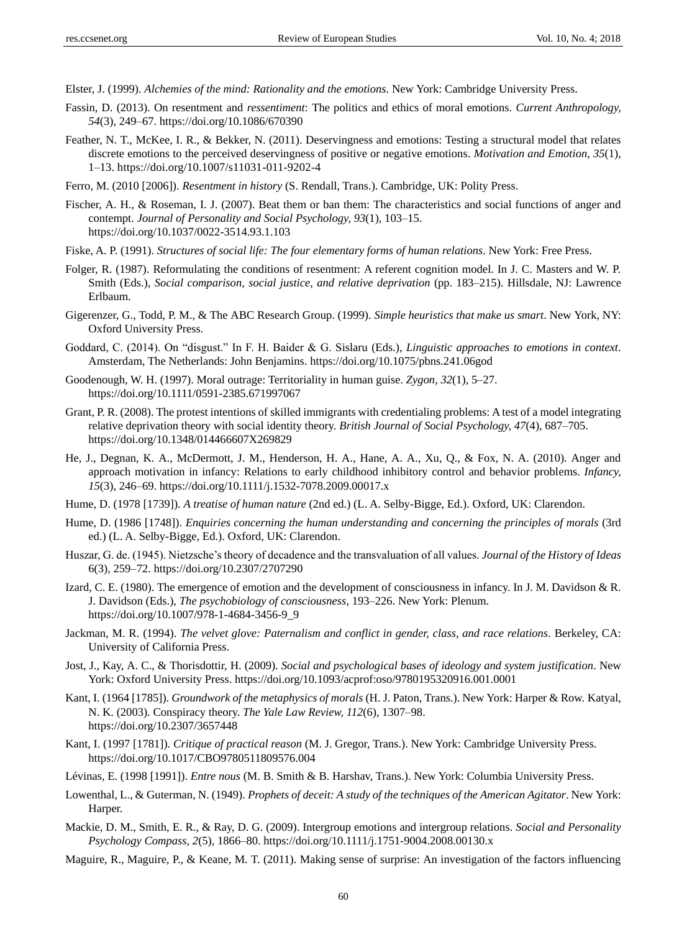Elster, J. (1999). *Alchemies of the mind: Rationality and the emotions*. New York: Cambridge University Press.

- Fassin, D. (2013). On resentment and *ressentiment*: The politics and ethics of moral emotions. *Current Anthropology, 54*(3), 249–67. https://doi.org/10.1086/670390
- Feather, N. T., McKee, I. R., & Bekker, N. (2011). Deservingness and emotions: Testing a structural model that relates discrete emotions to the perceived deservingness of positive or negative emotions. *Motivation and Emotion, 35*(1), 1–13. https://doi.org/10.1007/s11031-011-9202-4
- Ferro, M. (2010 [2006]). *Resentment in history* (S. Rendall, Trans.). Cambridge, UK: Polity Press.
- Fischer, A. H., & Roseman, I. J. (2007). Beat them or ban them: The characteristics and social functions of anger and contempt. *Journal of Personality and Social Psychology, 93*(1), 103–15. https://doi.org/10.1037/0022-3514.93.1.103
- Fiske, A. P. (1991). *Structures of social life: The four elementary forms of human relations*. New York: Free Press.
- Folger, R. (1987). Reformulating the conditions of resentment: A referent cognition model. In J. C. Masters and W. P. Smith (Eds.), *Social comparison, social justice, and relative deprivation* (pp. 183–215). Hillsdale, NJ: Lawrence Erlbaum.
- Gigerenzer, G., Todd, P. M., & The ABC Research Group. (1999). *Simple heuristics that make us smart*. New York, NY: Oxford University Press.
- Goddard, C. (2014). On "disgust." In F. H. Baider & G. Sislaru (Eds.), *Linguistic approaches to emotions in context*. Amsterdam, The Netherlands: John Benjamins. https://doi.org/10.1075/pbns.241.06god
- Goodenough, W. H. (1997). Moral outrage: Territoriality in human guise. *Zygon, 32*(1), 5–27. https://doi.org/10.1111/0591-2385.671997067
- Grant, P. R. (2008). The protest intentions of skilled immigrants with credentialing problems: A test of a model integrating relative deprivation theory with social identity theory. *British Journal of Social Psychology, 47*(4), 687–705. https://doi.org/10.1348/014466607X269829
- He, J., Degnan, K. A., McDermott, J. M., Henderson, H. A., Hane, A. A., Xu, Q., & Fox, N. A. (2010). Anger and approach motivation in infancy: Relations to early childhood inhibitory control and behavior problems. *Infancy, 15*(3), 246–69. <https://doi.org/10.1111/j.1532-7078.2009.00017.x>
- Hume, D. (1978 [1739]). *A treatise of human nature* (2nd ed.) (L. A. Selby-Bigge, Ed.). Oxford, UK: Clarendon.
- Hume, D. (1986 [1748]). *Enquiries concerning the human understanding and concerning the principles of morals* (3rd ed.) (L. A. Selby-Bigge, Ed.). Oxford, UK: Clarendon.
- Huszar, G. de. (1945). Nietzsche"s theory of decadence and the transvaluation of all values. *Journal of the History of Ideas* 6(3), 259–72. <https://doi.org/10.2307/2707290>
- Izard, C. E. (1980). The emergence of emotion and the development of consciousness in infancy. In J. M. Davidson & R. J. Davidson (Eds.), *The psychobiology of consciousness*, 193–226. New York: Plenum. https://doi.org/10.1007/978-1-4684-3456-9\_9
- Jackman, M. R. (1994). *The velvet glove: Paternalism and conflict in gender, class, and race relations*. Berkeley, CA: University of California Press.
- Jost, J., Kay, A. C., & Thorisdottir, H. (2009). *Social and psychological bases of ideology and system justification*. New York: Oxford University Press. https://doi.org/10.1093/acprof:oso/9780195320916.001.0001
- Kant, I. (1964 [1785]). *Groundwork of the metaphysics of morals* (H. J. Paton, Trans.). New York: Harper & Row. Katyal, N. K. (2003). Conspiracy theory. *The Yale Law Review, 112*(6), 1307–98. https://doi.org/10.2307/3657448
- Kant, I. (1997 [1781]). *Critique of practical reason* (M. J. Gregor, Trans.). New York: Cambridge University Press. https://doi.org/10.1017/CBO9780511809576.004
- Lévinas, E. (1998 [1991]). *Entre nous* (M. B. Smith & B. Harshav, Trans.). New York: Columbia University Press.
- Lowenthal, L., & Guterman, N. (1949). *Prophets of deceit: A study of the techniques of the American Agitator*. New York: Harper.
- Mackie, D. M., Smith, E. R., & Ray, D. G. (2009). Intergroup emotions and intergroup relations. *Social and Personality Psychology Compass, 2*(5), 1866–80. https://doi.org/10.1111/j.1751-9004.2008.00130.x
- Maguire, R., Maguire, P., & Keane, M. T. (2011). Making sense of surprise: An investigation of the factors influencing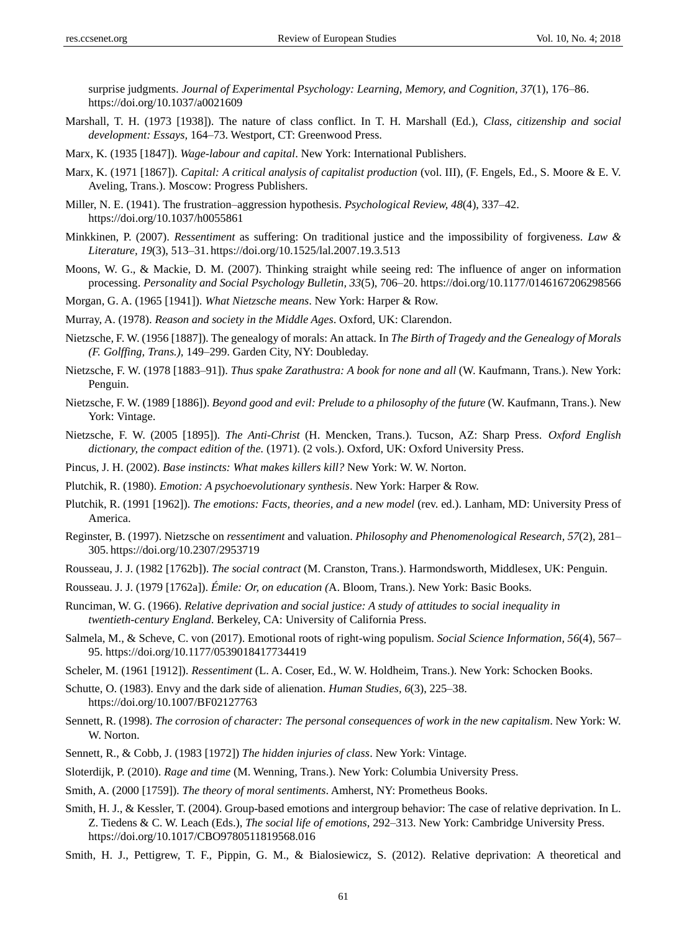surprise judgments. *Journal of Experimental Psychology: Learning, Memory, and Cognition, 37*(1), 176–86. https://doi.org/10.1037/a0021609

- Marshall, T. H. (1973 [1938]). The nature of class conflict. In T. H. Marshall (Ed.), *Class, citizenship and social development: Essays,* 164–73. Westport, CT: Greenwood Press.
- Marx, K. (1935 [1847]). *Wage-labour and capital*. New York: International Publishers.
- Marx, K. (1971 [1867]). *Capital: A critical analysis of capitalist production* (vol. III), (F. Engels, Ed., S. Moore & E. V. Aveling, Trans.). Moscow: Progress Publishers.
- Miller, N. E. (1941). The frustration–aggression hypothesis. *Psychological Review, 48*(4), 337–42. https://doi.org/10.1037/h0055861
- Minkkinen, P. (2007). *Ressentiment* as suffering: On traditional justice and the impossibility of forgiveness. *Law & Literature, 19*(3), 513–31. https://doi.org/10.1525/lal.2007.19.3.513
- Moons, W. G., & Mackie, D. M. (2007). Thinking straight while seeing red: The influence of anger on information processing. *Personality and Social Psychology Bulletin, 33*(5), 706–20. https://doi.org/10.1177/0146167206298566
- Morgan, G. A. (1965 [1941]). *What Nietzsche means*. New York: Harper & Row.
- Murray, A. (1978). *Reason and society in the Middle Ages*. Oxford, UK: Clarendon.
- Nietzsche, F. W. (1956 [1887]). The genealogy of morals: An attack*.* In *The Birth of Tragedy and the Genealogy of Morals (F. Golffing, Trans.),* 149–299. Garden City, NY: Doubleday.
- Nietzsche, F. W. (1978 [1883–91]). *Thus spake Zarathustra: A book for none and all* (W. Kaufmann, Trans.). New York: Penguin.
- Nietzsche, F. W. (1989 [1886]). *Beyond good and evil: Prelude to a philosophy of the future* (W. Kaufmann, Trans.). New York: Vintage.
- Nietzsche, F. W. (2005 [1895]). *The Anti-Christ* (H. Mencken, Trans.). Tucson, AZ: Sharp Press. *Oxford English dictionary, the compact edition of the.* (1971). (2 vols.). Oxford, UK: Oxford University Press.
- Pincus, J. H. (2002). *Base instincts: What makes killers kill?* New York: W. W. Norton.
- Plutchik, R. (1980). *Emotion: A psychoevolutionary synthesis*. New York: Harper & Row.
- Plutchik, R. (1991 [1962]). *The emotions: Facts, theories, and a new model* (rev. ed.). Lanham, MD: University Press of America.
- Reginster, B. (1997). Nietzsche on *ressentiment* and valuation. *Philosophy and Phenomenological Research, 57*(2), 281– 305. https://doi.org/10.2307/2953719
- Rousseau, J. J. (1982 [1762b]). *The social contract* (M. Cranston, Trans.). Harmondsworth, Middlesex, UK: Penguin.
- Rousseau. J. J. (1979 [1762a]). *Émile: Or, on education (*A. Bloom, Trans.). New York: Basic Books.
- Runciman, W. G. (1966). *Relative deprivation and social justice: A study of attitudes to social inequality in twentieth-century England*. Berkeley, CA: University of California Press.
- Salmela, M., & Scheve, C. von (2017). Emotional roots of right-wing populism. *Social Science Information, 56*(4), 567– 95. https://doi.org/10.1177/0539018417734419
- Scheler, M. (1961 [1912]). *Ressentiment* (L. A. Coser, Ed., W. W. Holdheim, Trans.). New York: Schocken Books.
- Schutte, O. (1983). Envy and the dark side of alienation. *Human Studies, 6*(3), 225–38. https://doi.org/10.1007/BF02127763
- Sennett, R. (1998). *The corrosion of character: The personal consequences of work in the new capitalism*. New York: W. W. Norton.
- Sennett, R., & Cobb, J. (1983 [1972]) *The hidden injuries of class*. New York: Vintage.
- Sloterdijk, P. (2010). *Rage and time* (M. Wenning, Trans.). New York: Columbia University Press.
- Smith, A. (2000 [1759]). *The theory of moral sentiments*. Amherst, NY: Prometheus Books.
- Smith, H. J., & Kessler, T. (2004). Group-based emotions and intergroup behavior: The case of relative deprivation. In L. Z. Tiedens & C. W. Leach (Eds.), *The social life of emotions,* 292–313. New York: Cambridge University Press. https://doi.org/10.1017/CBO9780511819568.016
- Smith, H. J., Pettigrew, T. F., Pippin, G. M., & Bialosiewicz, S. (2012). Relative deprivation: A theoretical and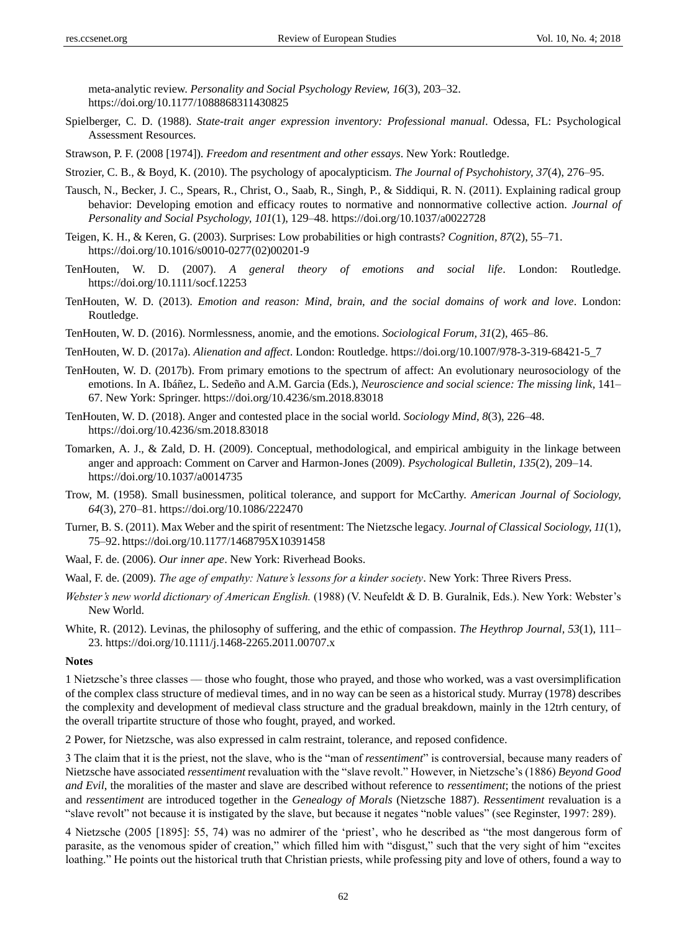meta-analytic review. *Personality and Social Psychology Review, 16*(3), 203–32. https://doi.org/10.1177/1088868311430825

- Spielberger, C. D. (1988). *State-trait anger expression inventory: Professional manual*. Odessa, FL: Psychological Assessment Resources.
- Strawson, P. F. (2008 [1974]). *Freedom and resentment and other essays*. New York: Routledge.
- Strozier, C. B., & Boyd, K. (2010). The psychology of apocalypticism. *The Journal of Psychohistory, 37*(4), 276–95.
- Tausch, N., Becker, J. C., Spears, R., Christ, O., Saab, R., Singh, P., & Siddiqui, R. N. (2011). Explaining radical group behavior: Developing emotion and efficacy routes to normative and nonnormative collective action. *Journal of Personality and Social Psychology, 101*(1), 129–48. https://doi.org/10.1037/a0022728
- Teigen, K. H., & Keren, G. (2003). Surprises: Low probabilities or high contrasts? *Cognition, 87*(2), 55–71. [https://doi.org/10.1016/s0010-0277\(02\)00201-9](https://doi.org/10.1016/s0010-0277(02)00201-9)
- TenHouten, W. D. (2007). *A general theory of emotions and social life*. London: Routledge. https://doi.org/10.1111/socf.12253
- TenHouten, W. D. (2013). *Emotion and reason: Mind, brain, and the social domains of work and love*. London: Routledge.
- TenHouten, W. D. (2016). Normlessness, anomie, and the emotions. *Sociological Forum, 31*(2), 465–86.
- TenHouten, W. D. (2017a). *Alienation and affect*. London: Routledge. https://doi.org/10.1007/978-3-319-68421-5\_7
- TenHouten, W. D. (2017b). From primary emotions to the spectrum of affect: An evolutionary neurosociology of the emotions. In A. Ibáñez, L. Sedeño and A.M. Garcia (Eds.), *Neuroscience and social science: The missing link,* 141– 67. New York: Springer. https://doi.org/10.4236/sm.2018.83018
- TenHouten, W. D. (2018). Anger and contested place in the social world. *Sociology Mind, 8*(3), 226–48. https://doi.org/10.4236/sm.2018.83018
- Tomarken, A. J., & Zald, D. H. (2009). Conceptual, methodological, and empirical ambiguity in the linkage between anger and approach: Comment on Carver and Harmon-Jones (2009). *Psychological Bulletin, 135*(2), 209–14. https://doi.org/10.1037/a0014735
- Trow, M. (1958). Small businessmen, political tolerance, and support for McCarthy. *American Journal of Sociology, 64*(3), 270–81. https://doi.org/10.1086/222470
- Turner, B. S. (2011). Max Weber and the spirit of resentment: The Nietzsche legacy. *Journal of Classical Sociology, 11*(1), 75–92. https://doi.org/10.1177/1468795X10391458
- Waal, F. de. (2006). *Our inner ape*. New York: Riverhead Books.
- Waal, F. de. (2009). *The age of empathy: Nature's lessons for a kinder society*. New York: Three Rivers Press.
- *Webster's new world dictionary of American English.* (1988) (V. Neufeldt & D. B. Guralnik, Eds.). New York: Webster"s New World.
- White, R. (2012). Levinas, the philosophy of suffering, and the ethic of compassion. *The Heythrop Journal, 53*(1), 111– 23. https://doi.org/10.1111/j.1468-2265.2011.00707.x

## **Notes**

1 Nietzsche"s three classes –– those who fought, those who prayed, and those who worked, was a vast oversimplification of the complex class structure of medieval times, and in no way can be seen as a historical study. Murray (1978) describes the complexity and development of medieval class structure and the gradual breakdown, mainly in the 12trh century, of the overall tripartite structure of those who fought, prayed, and worked.

2 Power, for Nietzsche, was also expressed in calm restraint, tolerance, and reposed confidence.

3 The claim that it is the priest, not the slave, who is the "man of *ressentiment*" is controversial, because many readers of Nietzsche have associated *ressentiment* revaluation with the "slave revolt." However, in Nietzsche"s (1886) *Beyond Good and Evil*, the moralities of the master and slave are described without reference to *ressentiment*; the notions of the priest and *ressentiment* are introduced together in the *Genealogy of Morals* (Nietzsche 1887). *Ressentiment* revaluation is a "slave revolt" not because it is instigated by the slave, but because it negates "noble values" (see Reginster, 1997: 289).

4 Nietzsche (2005 [1895]: 55, 74) was no admirer of the "priest", who he described as "the most dangerous form of parasite, as the venomous spider of creation," which filled him with "disgust," such that the very sight of him "excites loathing." He points out the historical truth that Christian priests, while professing pity and love of others, found a way to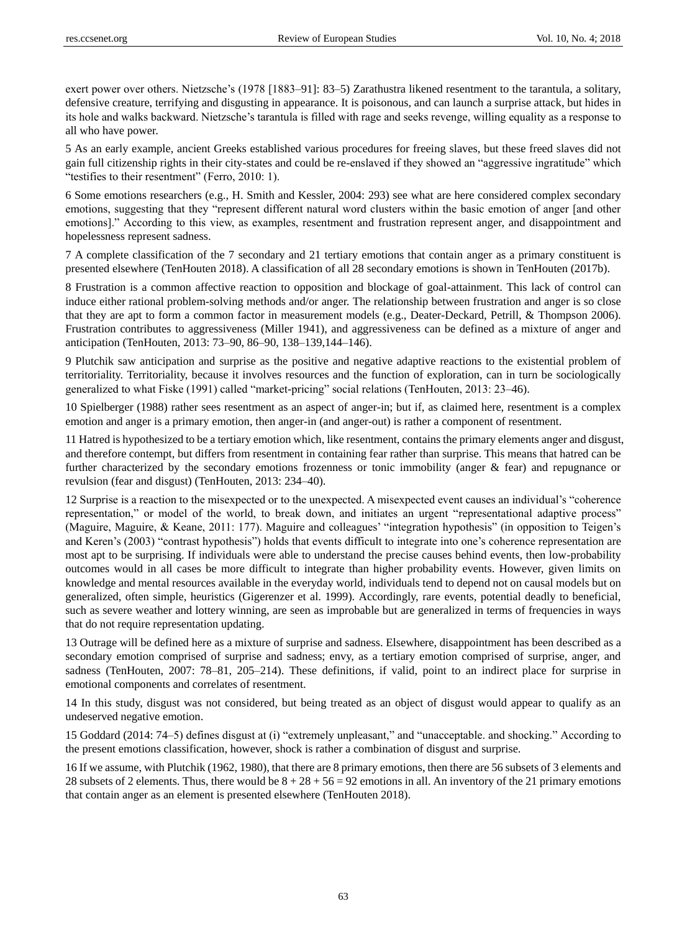exert power over others. Nietzsche's (1978 [1883–91]: 83–5) Zarathustra likened resentment to the tarantula, a solitary, defensive creature, terrifying and disgusting in appearance. It is poisonous, and can launch a surprise attack, but hides in its hole and walks backward. Nietzsche"s tarantula is filled with rage and seeks revenge, willing equality as a response to all who have power.

5 As an early example, ancient Greeks established various procedures for freeing slaves, but these freed slaves did not gain full citizenship rights in their city-states and could be re-enslaved if they showed an "aggressive ingratitude" which "testifies to their resentment" (Ferro, 2010: 1).

6 Some emotions researchers (e.g., H. Smith and Kessler, 2004: 293) see what are here considered complex secondary emotions, suggesting that they "represent different natural word clusters within the basic emotion of anger [and other emotions]." According to this view, as examples, resentment and frustration represent anger, and disappointment and hopelessness represent sadness.

7 A complete classification of the 7 secondary and 21 tertiary emotions that contain anger as a primary constituent is presented elsewhere (TenHouten 2018). A classification of all 28 secondary emotions is shown in TenHouten (2017b).

8 Frustration is a common affective reaction to opposition and blockage of goal-attainment. This lack of control can induce either rational problem-solving methods and/or anger. The relationship between frustration and anger is so close that they are apt to form a common factor in measurement models (e.g., Deater-Deckard, Petrill, & Thompson 2006). Frustration contributes to aggressiveness (Miller 1941), and aggressiveness can be defined as a mixture of anger and anticipation (TenHouten, 2013: 73–90, 86–90, 138–139,144–146).

9 Plutchik saw anticipation and surprise as the positive and negative adaptive reactions to the existential problem of territoriality. Territoriality, because it involves resources and the function of exploration, can in turn be sociologically generalized to what Fiske (1991) called "market-pricing" social relations (TenHouten, 2013: 23–46).

10 Spielberger (1988) rather sees resentment as an aspect of anger-in; but if, as claimed here, resentment is a complex emotion and anger is a primary emotion, then anger-in (and anger-out) is rather a component of resentment.

11 Hatred is hypothesized to be a tertiary emotion which, like resentment, contains the primary elements anger and disgust, and therefore contempt, but differs from resentment in containing fear rather than surprise. This means that hatred can be further characterized by the secondary emotions frozenness or tonic immobility (anger & fear) and repugnance or revulsion (fear and disgust) (TenHouten, 2013: 234–40).

12 Surprise is a reaction to the misexpected or to the unexpected. A misexpected event causes an individual"s "coherence representation," or model of the world, to break down, and initiates an urgent "representational adaptive process" (Maguire, Maguire, & Keane, 2011: 177). Maguire and colleagues" "integration hypothesis" (in opposition to Teigen"s and Keren"s (2003) "contrast hypothesis") holds that events difficult to integrate into one"s coherence representation are most apt to be surprising. If individuals were able to understand the precise causes behind events, then low-probability outcomes would in all cases be more difficult to integrate than higher probability events. However, given limits on knowledge and mental resources available in the everyday world, individuals tend to depend not on causal models but on generalized, often simple, heuristics (Gigerenzer et al. 1999). Accordingly, rare events, potential deadly to beneficial, such as severe weather and lottery winning, are seen as improbable but are generalized in terms of frequencies in ways that do not require representation updating.

13 Outrage will be defined here as a mixture of surprise and sadness. Elsewhere, disappointment has been described as a secondary emotion comprised of surprise and sadness; envy, as a tertiary emotion comprised of surprise, anger, and sadness (TenHouten, 2007: 78–81, 205–214). These definitions, if valid, point to an indirect place for surprise in emotional components and correlates of resentment.

14 In this study, disgust was not considered, but being treated as an object of disgust would appear to qualify as an undeserved negative emotion.

15 Goddard (2014: 74–5) defines disgust at (i) "extremely unpleasant," and "unacceptable. and shocking." According to the present emotions classification, however, shock is rather a combination of disgust and surprise.

16 If we assume, with Plutchik (1962, 1980), that there are 8 primary emotions, then there are 56 subsets of 3 elements and 28 subsets of 2 elements. Thus, there would be  $8 + 28 + 56 = 92$  emotions in all. An inventory of the 21 primary emotions that contain anger as an element is presented elsewhere (TenHouten 2018).